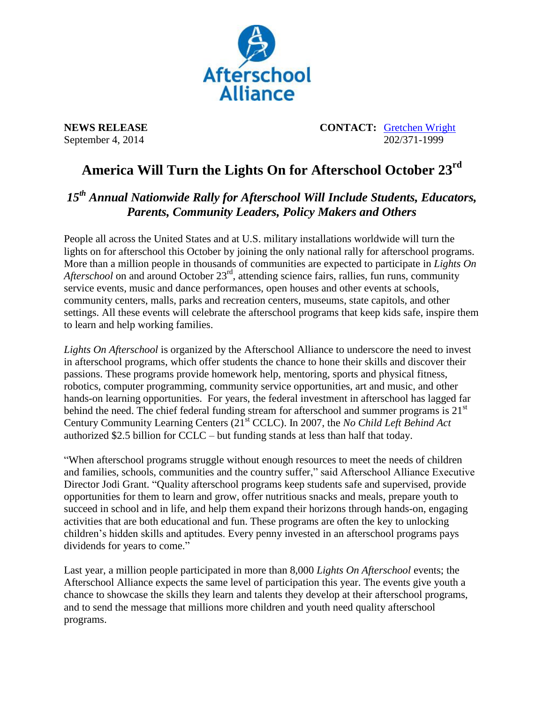

**NEWS RELEASE CONTACT:** [Gretchen Wright](mailto:gretchen@prsolutionsdc.com) September 4, 2014 202/371-1999

## **America Will Turn the Lights On for Afterschool October 23rd**

## *15th Annual Nationwide Rally for Afterschool Will Include Students, Educators, Parents, Community Leaders, Policy Makers and Others*

People all across the United States and at U.S. military installations worldwide will turn the lights on for afterschool this October by joining the only national rally for afterschool programs. More than a million people in thousands of communities are expected to participate in *Lights On*  Afterschool on and around October 23<sup>rd</sup>, attending science fairs, rallies, fun runs, community service events, music and dance performances, open houses and other events at schools, community centers, malls, parks and recreation centers, museums, state capitols, and other settings. All these events will celebrate the afterschool programs that keep kids safe, inspire them to learn and help working families.

*Lights On Afterschool* is organized by the Afterschool Alliance to underscore the need to invest in afterschool programs, which offer students the chance to hone their skills and discover their passions. These programs provide homework help, mentoring, sports and physical fitness, robotics, computer programming, community service opportunities, art and music, and other hands-on learning opportunities. For years, the federal investment in afterschool has lagged far behind the need. The chief federal funding stream for afterschool and summer programs is  $21<sup>st</sup>$ Century Community Learning Centers (21st CCLC). In 2007, the *No Child Left Behind Act* authorized \$2.5 billion for CCLC – but funding stands at less than half that today.

"When afterschool programs struggle without enough resources to meet the needs of children and families, schools, communities and the country suffer," said Afterschool Alliance Executive Director Jodi Grant. "Quality afterschool programs keep students safe and supervised, provide opportunities for them to learn and grow, offer nutritious snacks and meals, prepare youth to succeed in school and in life, and help them expand their horizons through hands-on, engaging activities that are both educational and fun. These programs are often the key to unlocking children's hidden skills and aptitudes. Every penny invested in an afterschool programs pays dividends for years to come."

Last year, a million people participated in more than 8,000 *Lights On Afterschool* events; the Afterschool Alliance expects the same level of participation this year. The events give youth a chance to showcase the skills they learn and talents they develop at their afterschool programs, and to send the message that millions more children and youth need quality afterschool programs.